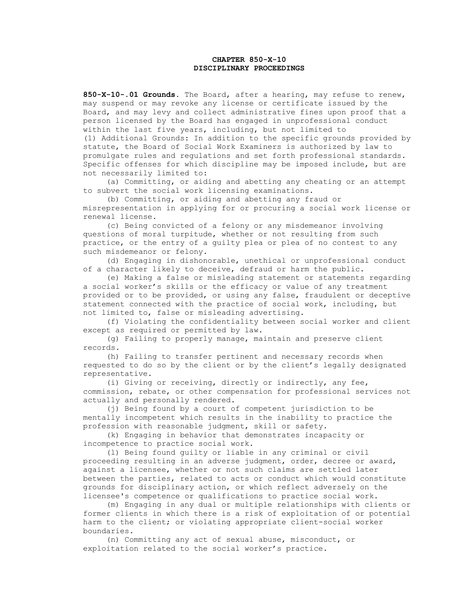# **CHAPTER 850-X-10 DISCIPLINARY PROCEEDINGS**

**850-X-10-.01 Grounds.** The Board, after a hearing, may refuse to renew, may suspend or may revoke any license or certificate issued by the Board, and may levy and collect administrative fines upon proof that a person licensed by the Board has engaged in unprofessional conduct within the last five years, including, but not limited to (1) Additional Grounds: In addition to the specific grounds provided by statute, the Board of Social Work Examiners is authorized by law to promulgate rules and regulations and set forth professional standards. Specific offenses for which discipline may be imposed include, but are not necessarily limited to:

 (a) Committing, or aiding and abetting any cheating or an attempt to subvert the social work licensing examinations.

 (b) Committing, or aiding and abetting any fraud or misrepresentation in applying for or procuring a social work license or renewal license.

 (c) Being convicted of a felony or any misdemeanor involving questions of moral turpitude, whether or not resulting from such practice, or the entry of a guilty plea or plea of no contest to any such misdemeanor or felony.

 (d) Engaging in dishonorable, unethical or unprofessional conduct of a character likely to deceive, defraud or harm the public.

 (e) Making a false or misleading statement or statements regarding a social worker's skills or the efficacy or value of any treatment provided or to be provided, or using any false, fraudulent or deceptive statement connected with the practice of social work, including, but not limited to, false or misleading advertising.

 (f) Violating the confidentiality between social worker and client except as required or permitted by law.

 (g) Failing to properly manage, maintain and preserve client records.

 (h) Failing to transfer pertinent and necessary records when requested to do so by the client or by the client's legally designated representative.

 (i) Giving or receiving, directly or indirectly, any fee, commission, rebate, or other compensation for professional services not actually and personally rendered.

 (j) Being found by a court of competent jurisdiction to be mentally incompetent which results in the inability to practice the profession with reasonable judgment, skill or safety.

 (k) Engaging in behavior that demonstrates incapacity or incompetence to practice social work.

 (l) Being found guilty or liable in any criminal or civil proceeding resulting in an adverse judgment, order, decree or award, against a licensee, whether or not such claims are settled later between the parties, related to acts or conduct which would constitute grounds for disciplinary action, or which reflect adversely on the licensee's competence or qualifications to practice social work.

 (m) Engaging in any dual or multiple relationships with clients or former clients in which there is a risk of exploitation of or potential harm to the client; or violating appropriate client-social worker boundaries.

 (n) Committing any act of sexual abuse, misconduct, or exploitation related to the social worker's practice.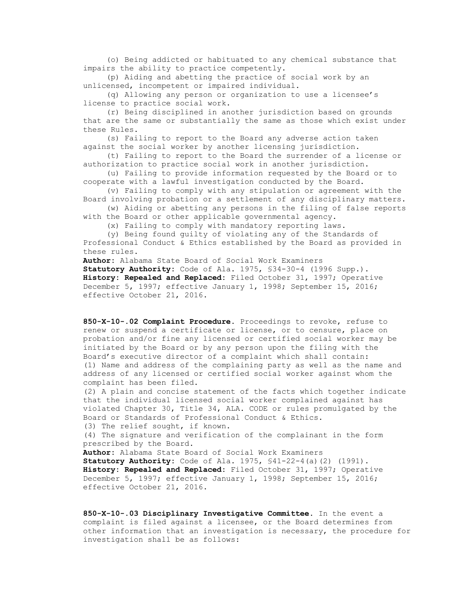(o) Being addicted or habituated to any chemical substance that impairs the ability to practice competently.

 (p) Aiding and abetting the practice of social work by an unlicensed, incompetent or impaired individual.

 (q) Allowing any person or organization to use a licensee's license to practice social work.

 (r) Being disciplined in another jurisdiction based on grounds that are the same or substantially the same as those which exist under these Rules.

 (s) Failing to report to the Board any adverse action taken against the social worker by another licensing jurisdiction.

 (t) Failing to report to the Board the surrender of a license or authorization to practice social work in another jurisdiction.

 (u) Failing to provide information requested by the Board or to cooperate with a lawful investigation conducted by the Board.

 (v) Failing to comply with any stipulation or agreement with the Board involving probation or a settlement of any disciplinary matters.

 (w) Aiding or abetting any persons in the filing of false reports with the Board or other applicable governmental agency.

(x) Failing to comply with mandatory reporting laws.

 (y) Being found guilty of violating any of the Standards of Professional Conduct & Ethics established by the Board as provided in these rules.

**Author:** Alabama State Board of Social Work Examiners **Statutory Authority:** Code of Ala. 1975, §34-30-4 (1996 Supp.). **History: Repealed and Replaced:** Filed October 31, 1997; Operative December 5, 1997; effective January 1, 1998; September 15, 2016; effective October 21, 2016.

**850-X-10-.02 Complaint Procedure**. Proceedings to revoke, refuse to renew or suspend a certificate or license, or to censure, place on probation and/or fine any licensed or certified social worker may be initiated by the Board or by any person upon the filing with the Board's executive director of a complaint which shall contain: (1) Name and address of the complaining party as well as the name and address of any licensed or certified social worker against whom the complaint has been filed.

(2) A plain and concise statement of the facts which together indicate that the individual licensed social worker complained against has violated Chapter 30, Title 34, ALA. CODE or rules promulgated by the Board or Standards of Professional Conduct & Ethics. (3) The relief sought, if known.

(4) The signature and verification of the complainant in the form prescribed by the Board.

**Author:** Alabama State Board of Social Work Examiners **Statutory Authority:** Code of Ala. 1975, §41-22-4(a)(2) (1991). **History: Repealed and Replaced:** Filed October 31, 1997; Operative December 5, 1997; effective January 1, 1998; September 15, 2016; effective October 21, 2016.

**850-X-10-.03 Disciplinary Investigative Committee**. In the event a complaint is filed against a licensee, or the Board determines from other information that an investigation is necessary, the procedure for investigation shall be as follows: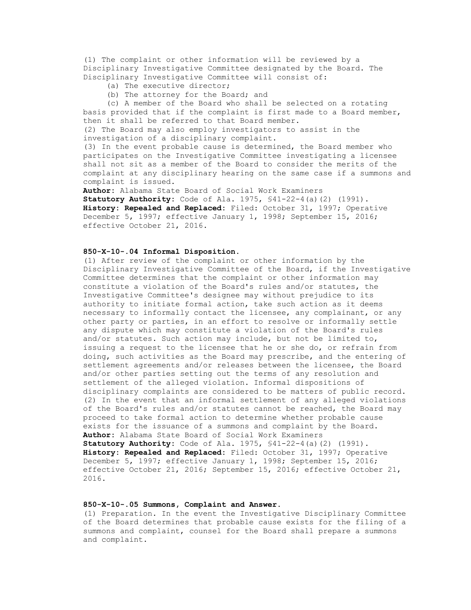(1) The complaint or other information will be reviewed by a Disciplinary Investigative Committee designated by the Board. The Disciplinary Investigative Committee will consist of:

- (a) The executive director;
- (b) The attorney for the Board; and

 (c) A member of the Board who shall be selected on a rotating basis provided that if the complaint is first made to a Board member, then it shall be referred to that Board member.

(2) The Board may also employ investigators to assist in the investigation of a disciplinary complaint.

(3) In the event probable cause is determined, the Board member who participates on the Investigative Committee investigating a licensee shall not sit as a member of the Board to consider the merits of the complaint at any disciplinary hearing on the same case if a summons and complaint is issued.

**Author:** Alabama State Board of Social Work Examiners **Statutory Authority:** Code of Ala. 1975, §41-22-4(a)(2) (1991). **History: Repealed and Replaced:** Filed: October 31, 1997; Operative December 5, 1997; effective January 1, 1998; September 15, 2016; effective October 21, 2016.

### **850-X-10-.04 Informal Disposition**.

(1) After review of the complaint or other information by the Disciplinary Investigative Committee of the Board, if the Investigative Committee determines that the complaint or other information may constitute a violation of the Board's rules and/or statutes, the Investigative Committee's designee may without prejudice to its authority to initiate formal action, take such action as it deems necessary to informally contact the licensee, any complainant, or any other party or parties, in an effort to resolve or informally settle any dispute which may constitute a violation of the Board's rules and/or statutes. Such action may include, but not be limited to, issuing a request to the licensee that he or she do, or refrain from doing, such activities as the Board may prescribe, and the entering of settlement agreements and/or releases between the licensee, the Board and/or other parties setting out the terms of any resolution and settlement of the alleged violation. Informal dispositions of disciplinary complaints are considered to be matters of public record. (2) In the event that an informal settlement of any alleged violations of the Board's rules and/or statutes cannot be reached, the Board may proceed to take formal action to determine whether probable cause exists for the issuance of a summons and complaint by the Board. **Author:** Alabama State Board of Social Work Examiners **Statutory Authority:** Code of Ala. 1975, §41-22-4(a)(2) (1991). **History: Repealed and Replaced:** Filed: October 31, 1997; Operative December 5, 1997; effective January 1, 1998; September 15, 2016; effective October 21, 2016; September 15, 2016; effective October 21, 2016.

## **850-X-10-.05 Summons, Complaint and Answer.**

(1) Preparation. In the event the Investigative Disciplinary Committee of the Board determines that probable cause exists for the filing of a summons and complaint, counsel for the Board shall prepare a summons and complaint.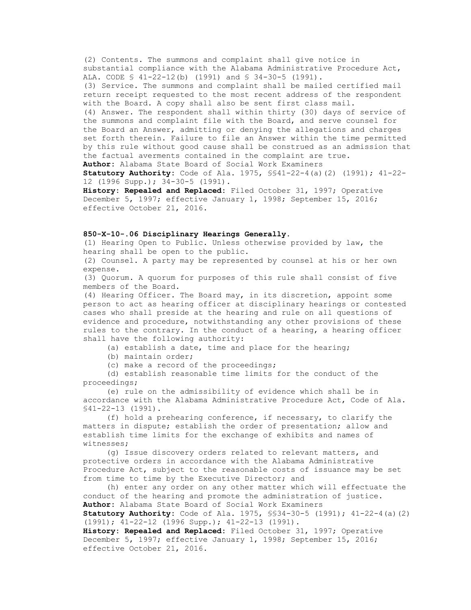(2) Contents. The summons and complaint shall give notice in substantial compliance with the Alabama Administrative Procedure Act, ALA. CODE § 41-22-12(b) (1991) and § 34-30-5 (1991). (3) Service. The summons and complaint shall be mailed certified mail return receipt requested to the most recent address of the respondent with the Board. A copy shall also be sent first class mail. (4) Answer. The respondent shall within thirty (30) days of service of the summons and complaint file with the Board, and serve counsel for the Board an Answer, admitting or denying the allegations and charges set forth therein. Failure to file an Answer within the time permitted by this rule without good cause shall be construed as an admission that the factual averments contained in the complaint are true. **Author:** Alabama State Board of Social Work Examiners

**Statutory Authority:** Code of Ala. 1975, §§41-22-4(a)(2) (1991); 41-22- 12 (1996 Supp.); 34-30-5 (1991).

**History: Repealed and Replaced:** Filed October 31, 1997; Operative December 5, 1997; effective January 1, 1998; September 15, 2016; effective October 21, 2016.

#### **850-X-10-.06 Disciplinary Hearings Generally.**

(1) Hearing Open to Public. Unless otherwise provided by law, the hearing shall be open to the public.

(2) Counsel. A party may be represented by counsel at his or her own expense.

(3) Quorum. A quorum for purposes of this rule shall consist of five members of the Board.

(4) Hearing Officer. The Board may, in its discretion, appoint some person to act as hearing officer at disciplinary hearings or contested cases who shall preside at the hearing and rule on all questions of evidence and procedure, notwithstanding any other provisions of these rules to the contrary. In the conduct of a hearing, a hearing officer shall have the following authority:

(a) establish a date, time and place for the hearing;

(b) maintain order;

(c) make a record of the proceedings;

 (d) establish reasonable time limits for the conduct of the proceedings;

 (e) rule on the admissibility of evidence which shall be in accordance with the Alabama Administrative Procedure Act, Code of Ala. §41-22-13 (1991).

 (f) hold a prehearing conference, if necessary, to clarify the matters in dispute; establish the order of presentation; allow and establish time limits for the exchange of exhibits and names of witnesses;

 (g) Issue discovery orders related to relevant matters, and protective orders in accordance with the Alabama Administrative Procedure Act, subject to the reasonable costs of issuance may be set from time to time by the Executive Director; and

 (h) enter any order on any other matter which will effectuate the conduct of the hearing and promote the administration of justice. **Author:** Alabama State Board of Social Work Examiners **Statutory Authority:** Code of Ala. 1975, §§34-30-5 (1991); 41-22-4(a)(2)

(1991); 41-22-12 (1996 Supp.); 41-22-13 (1991).

**History: Repealed and Replaced:** Filed October 31, 1997; Operative December 5, 1997; effective January 1, 1998; September 15, 2016; effective October 21, 2016.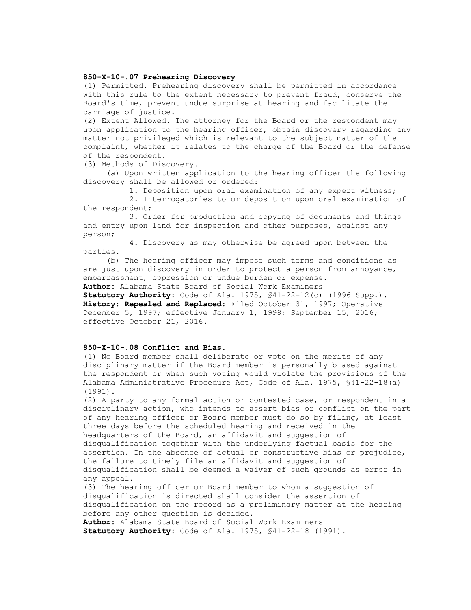## **850-X-10-.07 Prehearing Discovery**

(1) Permitted. Prehearing discovery shall be permitted in accordance with this rule to the extent necessary to prevent fraud, conserve the Board's time, prevent undue surprise at hearing and facilitate the carriage of justice.

(2) Extent Allowed. The attorney for the Board or the respondent may upon application to the hearing officer, obtain discovery regarding any matter not privileged which is relevant to the subject matter of the complaint, whether it relates to the charge of the Board or the defense of the respondent.

(3) Methods of Discovery.

 (a) Upon written application to the hearing officer the following discovery shall be allowed or ordered:

1. Deposition upon oral examination of any expert witness;

 2. Interrogatories to or deposition upon oral examination of the respondent;

 3. Order for production and copying of documents and things and entry upon land for inspection and other purposes, against any person;

 4. Discovery as may otherwise be agreed upon between the parties.

 (b) The hearing officer may impose such terms and conditions as are just upon discovery in order to protect a person from annoyance, embarrassment, oppression or undue burden or expense. **Author:** Alabama State Board of Social Work Examiners

**Statutory Authority:** Code of Ala. 1975, §41-22-12(c) (1996 Supp.). **History: Repealed and Replaced:** Filed October 31, 1997; Operative December 5, 1997; effective January 1, 1998; September 15, 2016; effective October 21, 2016.

### **850-X-10-.08 Conflict and Bias**.

(1) No Board member shall deliberate or vote on the merits of any disciplinary matter if the Board member is personally biased against the respondent or when such voting would violate the provisions of the Alabama Administrative Procedure Act, Code of Ala. 1975, §41-22-18(a) (1991).

(2) A party to any formal action or contested case, or respondent in a disciplinary action, who intends to assert bias or conflict on the part of any hearing officer or Board member must do so by filing, at least three days before the scheduled hearing and received in the headquarters of the Board, an affidavit and suggestion of disqualification together with the underlying factual basis for the assertion. In the absence of actual or constructive bias or prejudice, the failure to timely file an affidavit and suggestion of disqualification shall be deemed a waiver of such grounds as error in any appeal.

(3) The hearing officer or Board member to whom a suggestion of disqualification is directed shall consider the assertion of disqualification on the record as a preliminary matter at the hearing before any other question is decided. **Author:** Alabama State Board of Social Work Examiners

**Statutory Authority:** Code of Ala. 1975, §41-22-18 (1991).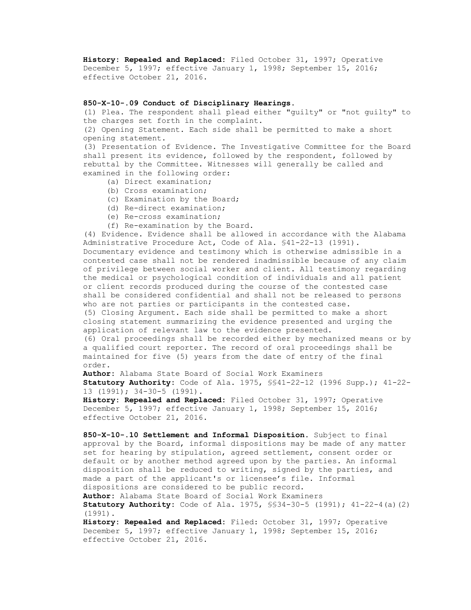**History: Repealed and Replaced:** Filed October 31, 1997; Operative December 5, 1997; effective January 1, 1998; September 15, 2016; effective October 21, 2016.

# **850-X-10-.09 Conduct of Disciplinary Hearings**.

(1) Plea. The respondent shall plead either "guilty" or "not guilty" to the charges set forth in the complaint. (2) Opening Statement. Each side shall be permitted to make a short opening statement.

(3) Presentation of Evidence. The Investigative Committee for the Board shall present its evidence, followed by the respondent, followed by rebuttal by the Committee. Witnesses will generally be called and examined in the following order:

- (a) Direct examination;
- (b) Cross examination;
- (c) Examination by the Board;
- (d) Re-direct examination;
- (e) Re-cross examination;
- (f) Re-examination by the Board.

(4) Evidence. Evidence shall be allowed in accordance with the Alabama Administrative Procedure Act, Code of Ala. §41-22-13 (1991). Documentary evidence and testimony which is otherwise admissible in a contested case shall not be rendered inadmissible because of any claim of privilege between social worker and client. All testimony regarding the medical or psychological condition of individuals and all patient or client records produced during the course of the contested case shall be considered confidential and shall not be released to persons who are not parties or participants in the contested case. (5) Closing Argument. Each side shall be permitted to make a short closing statement summarizing the evidence presented and urging the application of relevant law to the evidence presented. (6) Oral proceedings shall be recorded either by mechanized means or by a qualified court reporter. The record of oral proceedings shall be maintained for five (5) years from the date of entry of the final

order.

**Author:** Alabama State Board of Social Work Examiners

**Statutory Authority:** Code of Ala. 1975, §§41-22-12 (1996 Supp.); 41-22- 13 (1991); 34-30-5 (1991).

**History: Repealed and Replaced:** Filed October 31, 1997; Operative December 5, 1997; effective January 1, 1998; September 15, 2016; effective October 21, 2016.

**850-X-10-.10 Settlement and Informal Disposition**. Subject to final approval by the Board, informal dispositions may be made of any matter set for hearing by stipulation, agreed settlement, consent order or default or by another method agreed upon by the parties. An informal disposition shall be reduced to writing, signed by the parties, and made a part of the applicant's or licensee's file. Informal dispositions are considered to be public record.

**Author:** Alabama State Board of Social Work Examiners **Statutory Authority:** Code of Ala. 1975, §§34-30-5 (1991); 41-22-4(a)(2) (1991).

**History: Repealed and Replaced:** Filed: October 31, 1997; Operative December 5, 1997; effective January 1, 1998; September 15, 2016; effective October 21, 2016.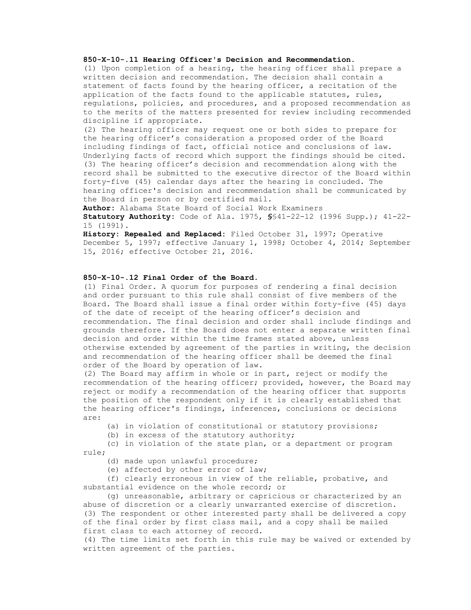# **850-X-10-.11 Hearing Officer's Decision and Recommendation**.

(1) Upon completion of a hearing, the hearing officer shall prepare a written decision and recommendation. The decision shall contain a statement of facts found by the hearing officer, a recitation of the application of the facts found to the applicable statutes, rules, regulations, policies, and procedures, and a proposed recommendation as to the merits of the matters presented for review including recommended discipline if appropriate.

(2) The hearing officer may request one or both sides to prepare for the hearing officer's consideration a proposed order of the Board including findings of fact, official notice and conclusions of law. Underlying facts of record which support the findings should be cited. (3) The hearing officer's decision and recommendation along with the record shall be submitted to the executive director of the Board within forty-five (45) calendar days after the hearing is concluded. The hearing officer's decision and recommendation shall be communicated by the Board in person or by certified mail.

**Author:** Alabama State Board of Social Work Examiners

**Statutory Authority:** Code of Ala. 1975, **§**§41-22-12 (1996 Supp.); 41-22- 15 (1991).

**History: Repealed and Replaced:** Filed October 31, 1997; Operative December 5, 1997; effective January 1, 1998; October 4, 2014; September 15, 2016; effective October 21, 2016.

# **850-X-10-.12 Final Order of the Board**.

(1) Final Order. A quorum for purposes of rendering a final decision and order pursuant to this rule shall consist of five members of the Board. The Board shall issue a final order within forty-five (45) days of the date of receipt of the hearing officer's decision and recommendation. The final decision and order shall include findings and grounds therefore. If the Board does not enter a separate written final decision and order within the time frames stated above, unless otherwise extended by agreement of the parties in writing, the decision and recommendation of the hearing officer shall be deemed the final order of the Board by operation of law.

(2) The Board may affirm in whole or in part, reject or modify the recommendation of the hearing officer; provided, however, the Board may reject or modify a recommendation of the hearing officer that supports the position of the respondent only if it is clearly established that the hearing officer's findings, inferences, conclusions or decisions are:

(a) in violation of constitutional or statutory provisions;

(b) in excess of the statutory authority;

 (c) in violation of the state plan, or a department or program rule;

(d) made upon unlawful procedure;

(e) affected by other error of law;

 (f) clearly erroneous in view of the reliable, probative, and substantial evidence on the whole record; or

 (g) unreasonable, arbitrary or capricious or characterized by an abuse of discretion or a clearly unwarranted exercise of discretion. (3) The respondent or other interested party shall be delivered a copy of the final order by first class mail, and a copy shall be mailed first class to each attorney of record.

(4) The time limits set forth in this rule may be waived or extended by written agreement of the parties.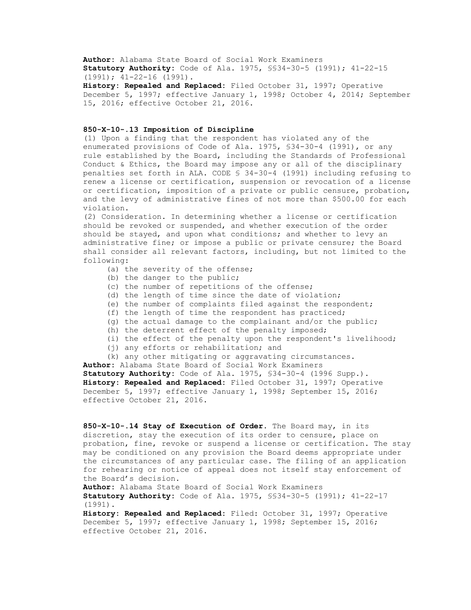**Author:** Alabama State Board of Social Work Examiners **Statutory Authority:** Code of Ala. 1975, §§34-30-5 (1991); 41-22-15 (1991); 41-22-16 (1991).

**History: Repealed and Replaced:** Filed October 31, 1997; Operative December 5, 1997; effective January 1, 1998; October 4, 2014; September 15, 2016; effective October 21, 2016.

#### **850-X-10-.13 Imposition of Discipline**

(1) Upon a finding that the respondent has violated any of the enumerated provisions of Code of Ala. 1975, §34-30-4 (1991), or any rule established by the Board, including the Standards of Professional Conduct & Ethics, the Board may impose any or all of the disciplinary penalties set forth in ALA. CODE § 34-30-4 (1991) including refusing to renew a license or certification, suspension or revocation of a license or certification, imposition of a private or public censure, probation, and the levy of administrative fines of not more than \$500.00 for each violation.

(2) Consideration. In determining whether a license or certification should be revoked or suspended, and whether execution of the order should be stayed, and upon what conditions; and whether to levy an administrative fine; or impose a public or private censure; the Board shall consider all relevant factors, including, but not limited to the following:

- (a) the severity of the offense;
- (b) the danger to the public;
- (c) the number of repetitions of the offense;
- (d) the length of time since the date of violation;
- (e) the number of complaints filed against the respondent;
- (f) the length of time the respondent has practiced;
- (g) the actual damage to the complainant and/or the public;
- (h) the deterrent effect of the penalty imposed;
- (i) the effect of the penalty upon the respondent's livelihood;
- (i) any efforts or rehabilitation; and

 (k) any other mitigating or aggravating circumstances. **Author:** Alabama State Board of Social Work Examiners **Statutory Authority:** Code of Ala. 1975, §34-30-4 (1996 Supp.). **History: Repealed and Replaced:** Filed October 31, 1997; Operative December 5, 1997; effective January 1, 1998; September 15, 2016; effective October 21, 2016.

**850-X-10-.14 Stay of Execution of Order**. The Board may, in its discretion, stay the execution of its order to censure, place on probation, fine, revoke or suspend a license or certification. The stay may be conditioned on any provision the Board deems appropriate under the circumstances of any particular case. The filing of an application for rehearing or notice of appeal does not itself stay enforcement of the Board's decision.

**Author:** Alabama State Board of Social Work Examiners

**Statutory Authority:** Code of Ala. 1975, §§34-30-5 (1991); 41-22-17 (1991).

**History: Repealed and Replaced:** Filed: October 31, 1997; Operative December 5, 1997; effective January 1, 1998; September 15, 2016; effective October 21, 2016.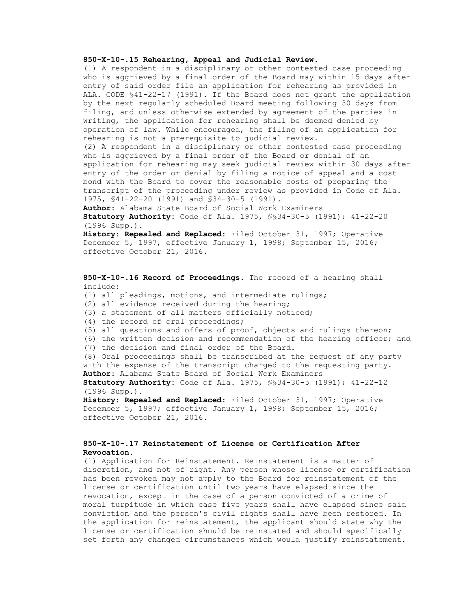# **850-X-10-.15 Rehearing, Appeal and Judicial Review**.

(1) A respondent in a disciplinary or other contested case proceeding who is aggrieved by a final order of the Board may within 15 days after entry of said order file an application for rehearing as provided in ALA. CODE §41-22-17 (1991). If the Board does not grant the application by the next regularly scheduled Board meeting following 30 days from filing, and unless otherwise extended by agreement of the parties in writing, the application for rehearing shall be deemed denied by operation of law. While encouraged, the filing of an application for rehearing is not a prerequisite to judicial review. (2) A respondent in a disciplinary or other contested case proceeding who is aggrieved by a final order of the Board or denial of an application for rehearing may seek judicial review within 30 days after entry of the order or denial by filing a notice of appeal and a cost bond with the Board to cover the reasonable costs of preparing the transcript of the proceeding under review as provided in Code of Ala. 1975, §41-22-20 (1991) and §34-30-5 (1991).

**Author:** Alabama State Board of Social Work Examiners **Statutory Authority:** Code of Ala. 1975, §§34-30-5 (1991); 41-22-20 (1996 Supp.).

**History**: **Repealed and Replaced:** Filed October 31, 1997; Operative December 5, 1997, effective January 1, 1998; September 15, 2016; effective October 21, 2016.

**850-X-10-.16 Record of Proceedings**. The record of a hearing shall include: (1) all pleadings, motions, and intermediate rulings; (2) all evidence received during the hearing; (3) a statement of all matters officially noticed; (4) the record of oral proceedings; (5) all questions and offers of proof, objects and rulings thereon; (6) the written decision and recommendation of the hearing officer; and (7) the decision and final order of the Board. (8) Oral proceedings shall be transcribed at the request of any party with the expense of the transcript charged to the requesting party. **Author**: Alabama State Board of Social Work Examiners **Statutory Authority:** Code of Ala. 1975, §§34-30-5 (1991); 41-22-12 (1996 Supp.). **History: Repealed and Replaced:** Filed October 31, 1997; Operative December 5, 1997; effective January 1, 1998; September 15, 2016; effective October 21, 2016.

# **850-X-10-.17 Reinstatement of License or Certification After Revocation**.

(1) Application for Reinstatement. Reinstatement is a matter of discretion, and not of right. Any person whose license or certification has been revoked may not apply to the Board for reinstatement of the license or certification until two years have elapsed since the revocation, except in the case of a person convicted of a crime of moral turpitude in which case five years shall have elapsed since said conviction and the person's civil rights shall have been restored. In the application for reinstatement, the applicant should state why the license or certification should be reinstated and should specifically set forth any changed circumstances which would justify reinstatement.